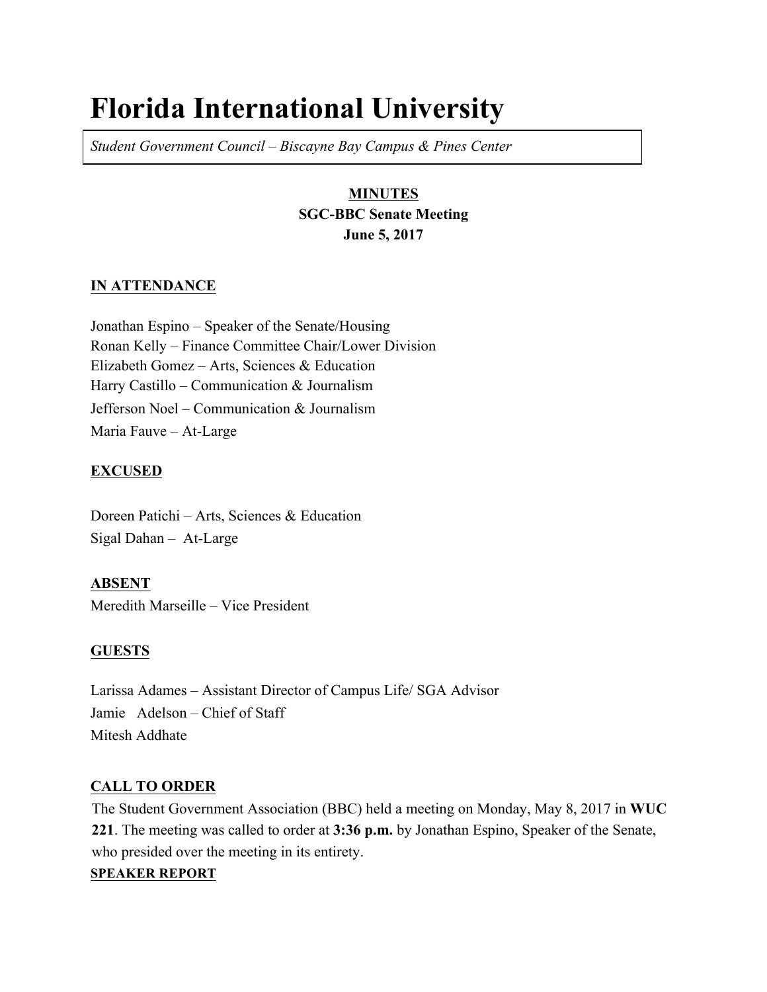# **Florida International University**

*Student Government Council – Biscayne Bay Campus & Pines Center*

# **MINUTES SGC-BBC Senate Meeting June 5, 2017**

# **IN ATTENDANCE**

Jonathan Espino – Speaker of the Senate/Housing Ronan Kelly – Finance Committee Chair/Lower Division Elizabeth Gomez – Arts, Sciences & Education Harry Castillo – Communication & Journalism Jefferson Noel – Communication & Journalism Maria Fauve – At-Large

# **EXCUSED**

Doreen Patichi – Arts, Sciences & Education Sigal Dahan – At-Large

**ABSENT** Meredith Marseille – Vice President

# **GUESTS**

Larissa Adames – Assistant Director of Campus Life/ SGA Advisor Jamie Adelson – Chief of Staff Mitesh Addhate

# **CALL TO ORDER**

The Student Government Association (BBC) held a meeting on Monday, May 8, 2017 in **WUC 221**. The meeting was called to order at **3:36 p.m.** by Jonathan Espino, Speaker of the Senate, who presided over the meeting in its entirety.

# **SPEAKER REPORT**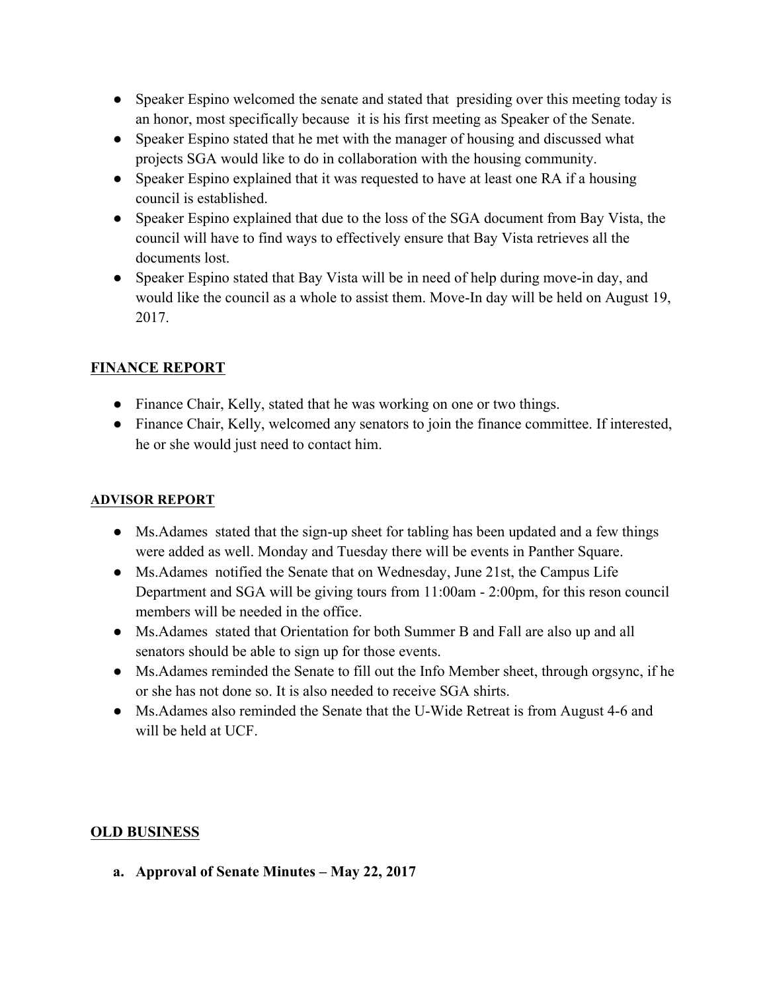- Speaker Espino welcomed the senate and stated that presiding over this meeting today is an honor, most specifically because it is his first meeting as Speaker of the Senate.
- Speaker Espino stated that he met with the manager of housing and discussed what projects SGA would like to do in collaboration with the housing community.
- Speaker Espino explained that it was requested to have at least one RA if a housing council is established.
- Speaker Espino explained that due to the loss of the SGA document from Bay Vista, the council will have to find ways to effectively ensure that Bay Vista retrieves all the documents lost.
- Speaker Espino stated that Bay Vista will be in need of help during move-in day, and would like the council as a whole to assist them. Move-In day will be held on August 19, 2017.

# **FINANCE REPORT**

- Finance Chair, Kelly, stated that he was working on one or two things.
- Finance Chair, Kelly, welcomed any senators to join the finance committee. If interested, he or she would just need to contact him.

# **ADVISOR REPORT**

- Ms. Adames stated that the sign-up sheet for tabling has been updated and a few things were added as well. Monday and Tuesday there will be events in Panther Square.
- Ms.Adames notified the Senate that on Wednesday, June 21st, the Campus Life Department and SGA will be giving tours from 11:00am - 2:00pm, for this reson council members will be needed in the office.
- Ms.Adames stated that Orientation for both Summer B and Fall are also up and all senators should be able to sign up for those events.
- Ms.Adames reminded the Senate to fill out the Info Member sheet, through orgsync, if he or she has not done so. It is also needed to receive SGA shirts.
- Ms.Adames also reminded the Senate that the U-Wide Retreat is from August 4-6 and will be held at UCF.

# **OLD BUSINESS**

**a. Approval of Senate Minutes – May 22, 2017**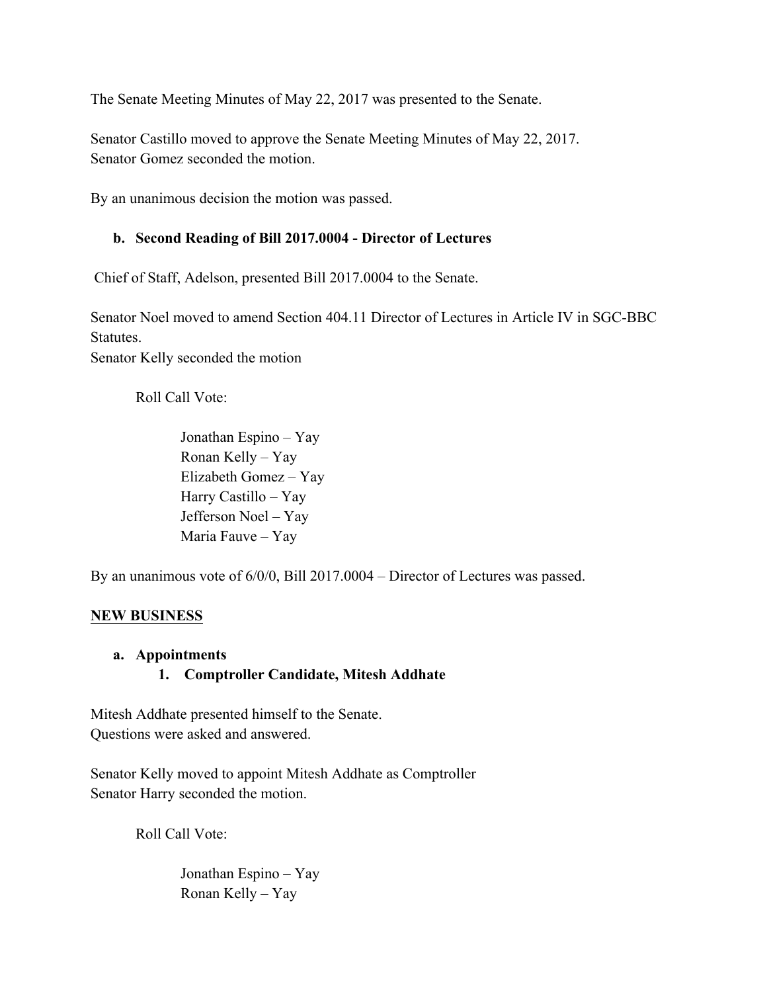The Senate Meeting Minutes of May 22, 2017 was presented to the Senate.

Senator Castillo moved to approve the Senate Meeting Minutes of May 22, 2017. Senator Gomez seconded the motion.

By an unanimous decision the motion was passed.

#### **b. Second Reading of Bill 2017.0004 - Director of Lectures**

Chief of Staff, Adelson, presented Bill 2017.0004 to the Senate.

Senator Noel moved to amend Section 404.11 Director of Lectures in Article IV in SGC-BBC Statutes.

Senator Kelly seconded the motion

Roll Call Vote:

Jonathan Espino – Yay Ronan Kelly – Yay Elizabeth Gomez – Yay Harry Castillo – Yay Jefferson Noel – Yay Maria Fauve – Yay

By an unanimous vote of 6/0/0, Bill 2017.0004 – Director of Lectures was passed.

#### **NEW BUSINESS**

#### **a. Appointments**

# **1. Comptroller Candidate, Mitesh Addhate**

Mitesh Addhate presented himself to the Senate. Questions were asked and answered.

Senator Kelly moved to appoint Mitesh Addhate as Comptroller Senator Harry seconded the motion.

Roll Call Vote:

Jonathan Espino – Yay Ronan Kelly – Yay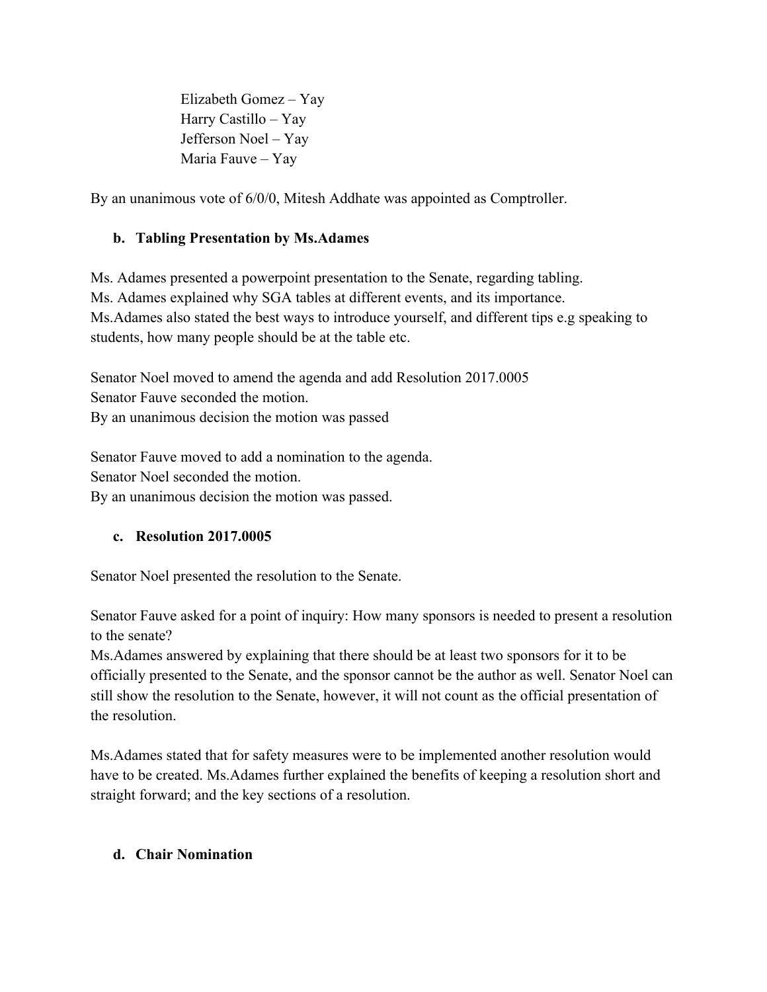Elizabeth Gomez – Yay Harry Castillo – Yay Jefferson Noel – Yay Maria Fauve – Yay

By an unanimous vote of 6/0/0, Mitesh Addhate was appointed as Comptroller.

# **b. Tabling Presentation by Ms.Adames**

Ms. Adames presented a powerpoint presentation to the Senate, regarding tabling. Ms. Adames explained why SGA tables at different events, and its importance. Ms.Adames also stated the best ways to introduce yourself, and different tips e.g speaking to students, how many people should be at the table etc.

Senator Noel moved to amend the agenda and add Resolution 2017.0005 Senator Fauve seconded the motion. By an unanimous decision the motion was passed

Senator Fauve moved to add a nomination to the agenda. Senator Noel seconded the motion. By an unanimous decision the motion was passed.

# **c. Resolution 2017.0005**

Senator Noel presented the resolution to the Senate.

Senator Fauve asked for a point of inquiry: How many sponsors is needed to present a resolution to the senate?

Ms.Adames answered by explaining that there should be at least two sponsors for it to be officially presented to the Senate, and the sponsor cannot be the author as well. Senator Noel can still show the resolution to the Senate, however, it will not count as the official presentation of the resolution.

Ms.Adames stated that for safety measures were to be implemented another resolution would have to be created. Ms.Adames further explained the benefits of keeping a resolution short and straight forward; and the key sections of a resolution.

# **d. Chair Nomination**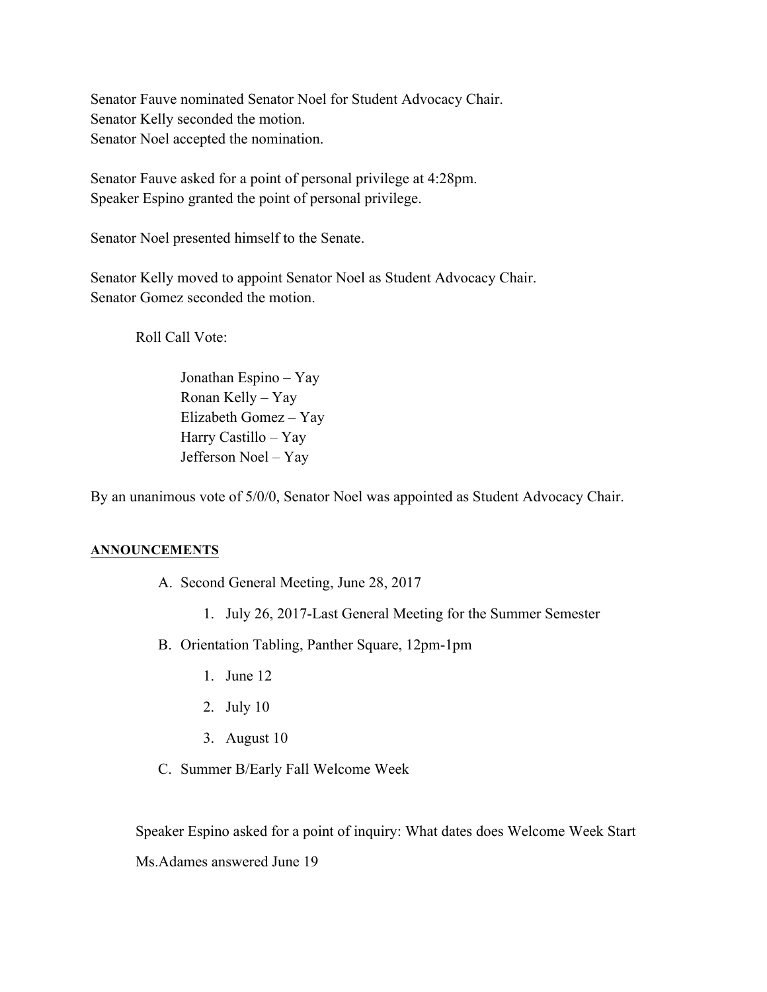Senator Fauve nominated Senator Noel for Student Advocacy Chair. Senator Kelly seconded the motion. Senator Noel accepted the nomination.

Senator Fauve asked for a point of personal privilege at 4:28pm. Speaker Espino granted the point of personal privilege.

Senator Noel presented himself to the Senate.

Senator Kelly moved to appoint Senator Noel as Student Advocacy Chair. Senator Gomez seconded the motion.

Roll Call Vote:

Jonathan Espino – Yay Ronan Kelly – Yay Elizabeth Gomez – Yay Harry Castillo – Yay Jefferson Noel – Yay

By an unanimous vote of 5/0/0, Senator Noel was appointed as Student Advocacy Chair.

# **ANNOUNCEMENTS**

- A. Second General Meeting, June 28, 2017
	- 1. July 26, 2017-Last General Meeting for the Summer Semester
- B. Orientation Tabling, Panther Square, 12pm-1pm
	- 1. June 12
	- 2. July 10
	- 3. August 10
- C. Summer B/Early Fall Welcome Week

Speaker Espino asked for a point of inquiry: What dates does Welcome Week Start

Ms.Adames answered June 19